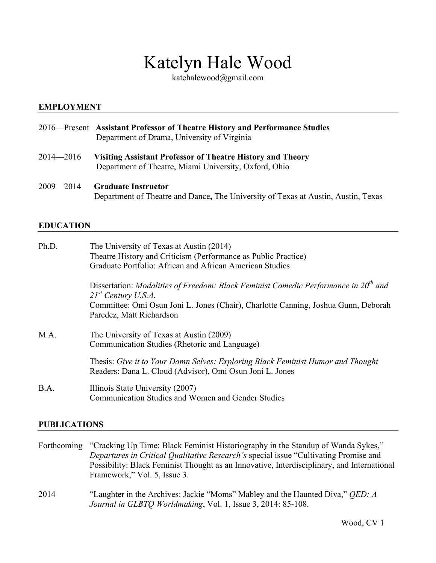# Katelyn Hale Wood

katehalewood@gmail.com

## **EMPLOYMENT**

- 2016—Present **Assistant Professor of Theatre History and Performance Studies** Department of Drama, University of Virginia
- 2014—2016 **Visiting Assistant Professor of Theatre History and Theory** Department of Theatre, Miami University, Oxford, Ohio
- 2009—2014 **Graduate Instructor** Department of Theatre and Dance**,** The University of Texas at Austin, Austin, Texas

#### **EDUCATION**

| The University of Texas at Austin (2014)                                                                                                    |
|---------------------------------------------------------------------------------------------------------------------------------------------|
| Theatre History and Criticism (Performance as Public Practice)                                                                              |
| Graduate Portfolio: African and African American Studies                                                                                    |
| Dissertation: Modalities of Freedom: Black Feminist Comedic Performance in $20th$ and<br>$21^{st}$ Century U.S.A.                           |
| Committee: Omi Osun Joni L. Jones (Chair), Charlotte Canning, Joshua Gunn, Deborah                                                          |
| Paredez, Matt Richardson                                                                                                                    |
| The University of Texas at Austin (2009)                                                                                                    |
| Communication Studies (Rhetoric and Language)                                                                                               |
| Thesis: Give it to Your Damn Selves: Exploring Black Feminist Humor and Thought<br>Readers: Dana L. Cloud (Advisor), Omi Osun Joni L. Jones |
| Illinois State University (2007)<br>Communication Studies and Women and Gender Studies                                                      |
|                                                                                                                                             |

# **PUBLICATIONS**

Forthcoming "Cracking Up Time: Black Feminist Historiography in the Standup of Wanda Sykes," *Departures in Critical Qualitative Research's* special issue "Cultivating Promise and Possibility: Black Feminist Thought as an Innovative, Interdisciplinary, and International Framework," Vol. 5, Issue 3.

2014 "Laughter in the Archives: Jackie "Moms" Mabley and the Haunted Diva," *QED: A Journal in GLBTQ Worldmaking*, Vol. 1, Issue 3, 2014: 85-108.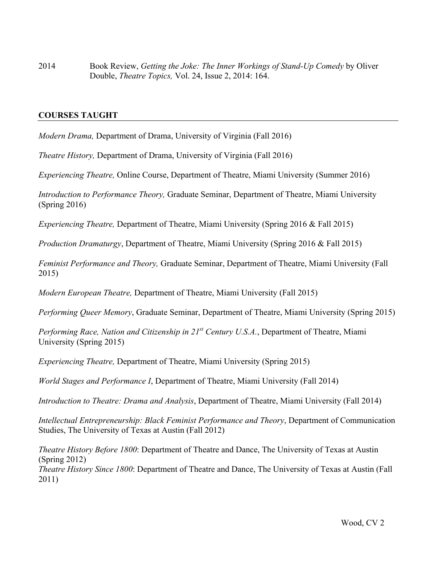2014 Book Review, *Getting the Joke: The Inner Workings of Stand-Up Comedy* by Oliver Double, *Theatre Topics,* Vol. 24, Issue 2, 2014: 164.

### **COURSES TAUGHT**

*Modern Drama,* Department of Drama, University of Virginia (Fall 2016)

*Theatre History,* Department of Drama, University of Virginia (Fall 2016)

*Experiencing Theatre,* Online Course, Department of Theatre, Miami University (Summer 2016)

*Introduction to Performance Theory,* Graduate Seminar, Department of Theatre, Miami University (Spring 2016)

*Experiencing Theatre,* Department of Theatre, Miami University (Spring 2016 & Fall 2015)

*Production Dramaturgy*, Department of Theatre, Miami University (Spring 2016 & Fall 2015)

*Feminist Performance and Theory,* Graduate Seminar, Department of Theatre, Miami University (Fall 2015)

*Modern European Theatre,* Department of Theatre, Miami University (Fall 2015)

*Performing Queer Memory*, Graduate Seminar, Department of Theatre, Miami University (Spring 2015)

*Performing Race, Nation and Citizenship in 21st Century U.S.A.*, Department of Theatre, Miami University (Spring 2015)

*Experiencing Theatre,* Department of Theatre, Miami University (Spring 2015)

*World Stages and Performance I*, Department of Theatre, Miami University (Fall 2014)

*Introduction to Theatre: Drama and Analysis*, Department of Theatre, Miami University (Fall 2014)

*Intellectual Entrepreneurship: Black Feminist Performance and Theory*, Department of Communication Studies, The University of Texas at Austin (Fall 2012)

*Theatre History Before 1800*: Department of Theatre and Dance, The University of Texas at Austin (Spring 2012)

*Theatre History Since 1800*: Department of Theatre and Dance, The University of Texas at Austin (Fall 2011)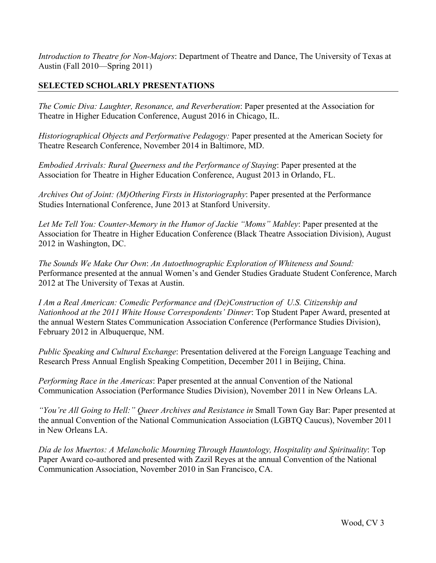*Introduction to Theatre for Non-Majors*: Department of Theatre and Dance, The University of Texas at Austin (Fall 2010—Spring 2011)

# **SELECTED SCHOLARLY PRESENTATIONS**

*The Comic Diva: Laughter, Resonance, and Reverberation*: Paper presented at the Association for Theatre in Higher Education Conference, August 2016 in Chicago, IL.

*Historiographical Objects and Performative Pedagogy:* Paper presented at the American Society for Theatre Research Conference, November 2014 in Baltimore, MD.

*Embodied Arrivals: Rural Queerness and the Performance of Staying*: Paper presented at the Association for Theatre in Higher Education Conference, August 2013 in Orlando, FL.

*Archives Out of Joint: (M)Othering Firsts in Historiography*: Paper presented at the Performance Studies International Conference, June 2013 at Stanford University.

*Let Me Tell You: Counter-Memory in the Humor of Jackie "Moms" Mabley*: Paper presented at the Association for Theatre in Higher Education Conference (Black Theatre Association Division), August 2012 in Washington, DC.

*The Sounds We Make Our Own*: *An Autoethnographic Exploration of Whiteness and Sound:* Performance presented at the annual Women's and Gender Studies Graduate Student Conference, March 2012 at The University of Texas at Austin.

*I Am a Real American: Comedic Performance and (De)Construction of U.S. Citizenship and Nationhood at the 2011 White House Correspondents' Dinner*: Top Student Paper Award, presented at the annual Western States Communication Association Conference (Performance Studies Division), February 2012 in Albuquerque, NM.

*Public Speaking and Cultural Exchange*: Presentation delivered at the Foreign Language Teaching and Research Press Annual English Speaking Competition, December 2011 in Beijing, China.

*Performing Race in the Americas*: Paper presented at the annual Convention of the National Communication Association (Performance Studies Division), November 2011 in New Orleans LA.

*"You're All Going to Hell:" Queer Archives and Resistance in* Small Town Gay Bar: Paper presented at the annual Convention of the National Communication Association (LGBTQ Caucus), November 2011 in New Orleans LA.

*Día de los Muertos: A Melancholic Mourning Through Hauntology, Hospitality and Spirituality*: Top Paper Award co-authored and presented with Zazil Reyes at the annual Convention of the National Communication Association, November 2010 in San Francisco, CA.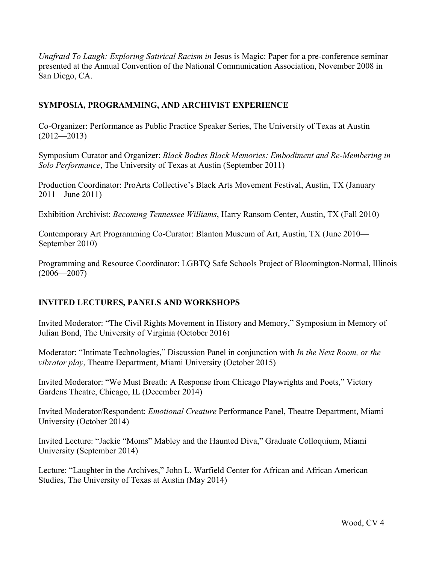*Unafraid To Laugh: Exploring Satirical Racism in Jesus is Magic: Paper for a pre-conference seminar* presented at the Annual Convention of the National Communication Association, November 2008 in San Diego, CA.

# **SYMPOSIA, PROGRAMMING, AND ARCHIVIST EXPERIENCE**

Co-Organizer: Performance as Public Practice Speaker Series, The University of Texas at Austin  $(2012 - 2013)$ 

Symposium Curator and Organizer: *Black Bodies Black Memories: Embodiment and Re-Membering in Solo Performance*, The University of Texas at Austin (September 2011)

Production Coordinator: ProArts Collective's Black Arts Movement Festival, Austin, TX (January 2011—June 2011)

Exhibition Archivist: *Becoming Tennessee Williams*, Harry Ransom Center, Austin, TX (Fall 2010)

Contemporary Art Programming Co-Curator: Blanton Museum of Art, Austin, TX (June 2010— September 2010)

Programming and Resource Coordinator: LGBTQ Safe Schools Project of Bloomington-Normal, Illinois  $(2006 - 2007)$ 

# **INVITED LECTURES, PANELS AND WORKSHOPS**

Invited Moderator: "The Civil Rights Movement in History and Memory," Symposium in Memory of Julian Bond, The University of Virginia (October 2016)

Moderator: "Intimate Technologies," Discussion Panel in conjunction with *In the Next Room, or the vibrator play*, Theatre Department, Miami University (October 2015)

Invited Moderator: "We Must Breath: A Response from Chicago Playwrights and Poets," Victory Gardens Theatre, Chicago, IL (December 2014)

Invited Moderator/Respondent: *Emotional Creature* Performance Panel, Theatre Department, Miami University (October 2014)

Invited Lecture: "Jackie "Moms" Mabley and the Haunted Diva," Graduate Colloquium, Miami University (September 2014)

Lecture: "Laughter in the Archives," John L. Warfield Center for African and African American Studies, The University of Texas at Austin (May 2014)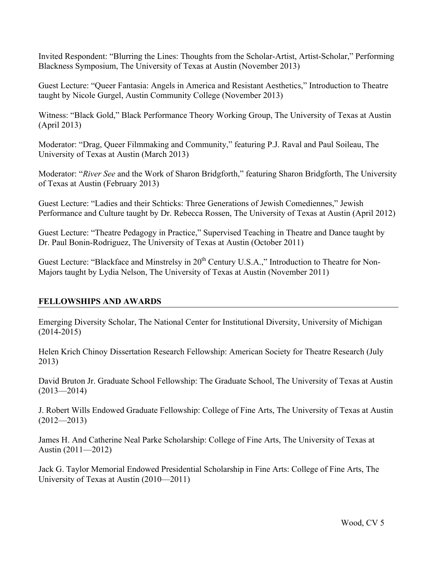Invited Respondent: "Blurring the Lines: Thoughts from the Scholar-Artist, Artist-Scholar," Performing Blackness Symposium, The University of Texas at Austin (November 2013)

Guest Lecture: "Queer Fantasia: Angels in America and Resistant Aesthetics," Introduction to Theatre taught by Nicole Gurgel, Austin Community College (November 2013)

Witness: "Black Gold," Black Performance Theory Working Group, The University of Texas at Austin (April 2013)

Moderator: "Drag, Queer Filmmaking and Community," featuring P.J. Raval and Paul Soileau, The University of Texas at Austin (March 2013)

Moderator: "*River See* and the Work of Sharon Bridgforth," featuring Sharon Bridgforth, The University of Texas at Austin (February 2013)

Guest Lecture: "Ladies and their Schticks: Three Generations of Jewish Comediennes," Jewish Performance and Culture taught by Dr. Rebecca Rossen, The University of Texas at Austin (April 2012)

Guest Lecture: "Theatre Pedagogy in Practice," Supervised Teaching in Theatre and Dance taught by Dr. Paul Bonin-Rodriguez, The University of Texas at Austin (October 2011)

Guest Lecture: "Blackface and Minstrelsy in 20<sup>th</sup> Century U.S.A.," Introduction to Theatre for Non-Majors taught by Lydia Nelson, The University of Texas at Austin (November 2011)

# **FELLOWSHIPS AND AWARDS**

Emerging Diversity Scholar, The National Center for Institutional Diversity, University of Michigan (2014-2015)

Helen Krich Chinoy Dissertation Research Fellowship: American Society for Theatre Research (July 2013)

David Bruton Jr. Graduate School Fellowship: The Graduate School, The University of Texas at Austin  $(2013 - 2014)$ 

J. Robert Wills Endowed Graduate Fellowship: College of Fine Arts, The University of Texas at Austin  $(2012 - 2013)$ 

James H. And Catherine Neal Parke Scholarship: College of Fine Arts, The University of Texas at Austin (2011—2012)

Jack G. Taylor Memorial Endowed Presidential Scholarship in Fine Arts: College of Fine Arts, The University of Texas at Austin (2010—2011)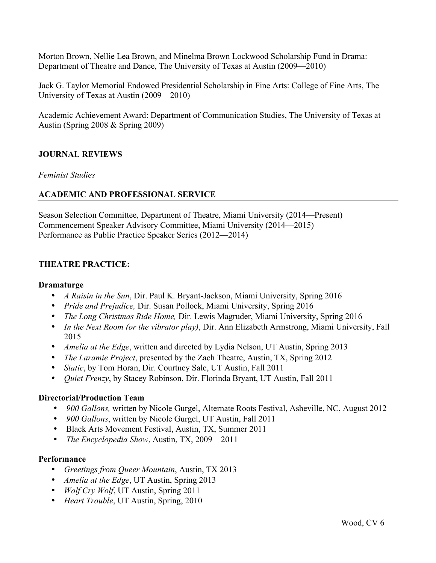Morton Brown, Nellie Lea Brown, and Minelma Brown Lockwood Scholarship Fund in Drama: Department of Theatre and Dance, The University of Texas at Austin (2009—2010)

Jack G. Taylor Memorial Endowed Presidential Scholarship in Fine Arts: College of Fine Arts, The University of Texas at Austin (2009—2010)

Academic Achievement Award: Department of Communication Studies, The University of Texas at Austin (Spring 2008 & Spring 2009)

## **JOURNAL REVIEWS**

#### *Feminist Studies*

## **ACADEMIC AND PROFESSIONAL SERVICE**

Season Selection Committee, Department of Theatre, Miami University (2014—Present) Commencement Speaker Advisory Committee, Miami University (2014—2015) Performance as Public Practice Speaker Series (2012—2014)

#### **THEATRE PRACTICE:**

#### **Dramaturge**

- *A Raisin in the Sun*, Dir. Paul K. Bryant-Jackson, Miami University, Spring 2016
- *Pride and Prejudice,* Dir. Susan Pollock, Miami University, Spring 2016
- *The Long Christmas Ride Home,* Dir. Lewis Magruder, Miami University, Spring 2016
- *In the Next Room (or the vibrator play)*, Dir. Ann Elizabeth Armstrong, Miami University, Fall 2015
- *Amelia at the Edge*, written and directed by Lydia Nelson, UT Austin, Spring 2013
- *The Laramie Project*, presented by the Zach Theatre, Austin, TX, Spring 2012
- *Static*, by Tom Horan, Dir. Courtney Sale, UT Austin, Fall 2011
- *Quiet Frenzy*, by Stacey Robinson, Dir. Florinda Bryant, UT Austin, Fall 2011

#### **Directorial/Production Team**

- *900 Gallons,* written by Nicole Gurgel, Alternate Roots Festival, Asheville, NC, August 2012
- *900 Gallons*, written by Nicole Gurgel, UT Austin, Fall 2011
- Black Arts Movement Festival, Austin, TX, Summer 2011
- *The Encyclopedia Show*, Austin, TX, 2009—2011

#### **Performance**

- *Greetings from Queer Mountain*, Austin, TX 2013
- *Amelia at the Edge*, UT Austin, Spring 2013
- *Wolf Cry Wolf*, UT Austin, Spring 2011
- *Heart Trouble*, UT Austin, Spring, 2010